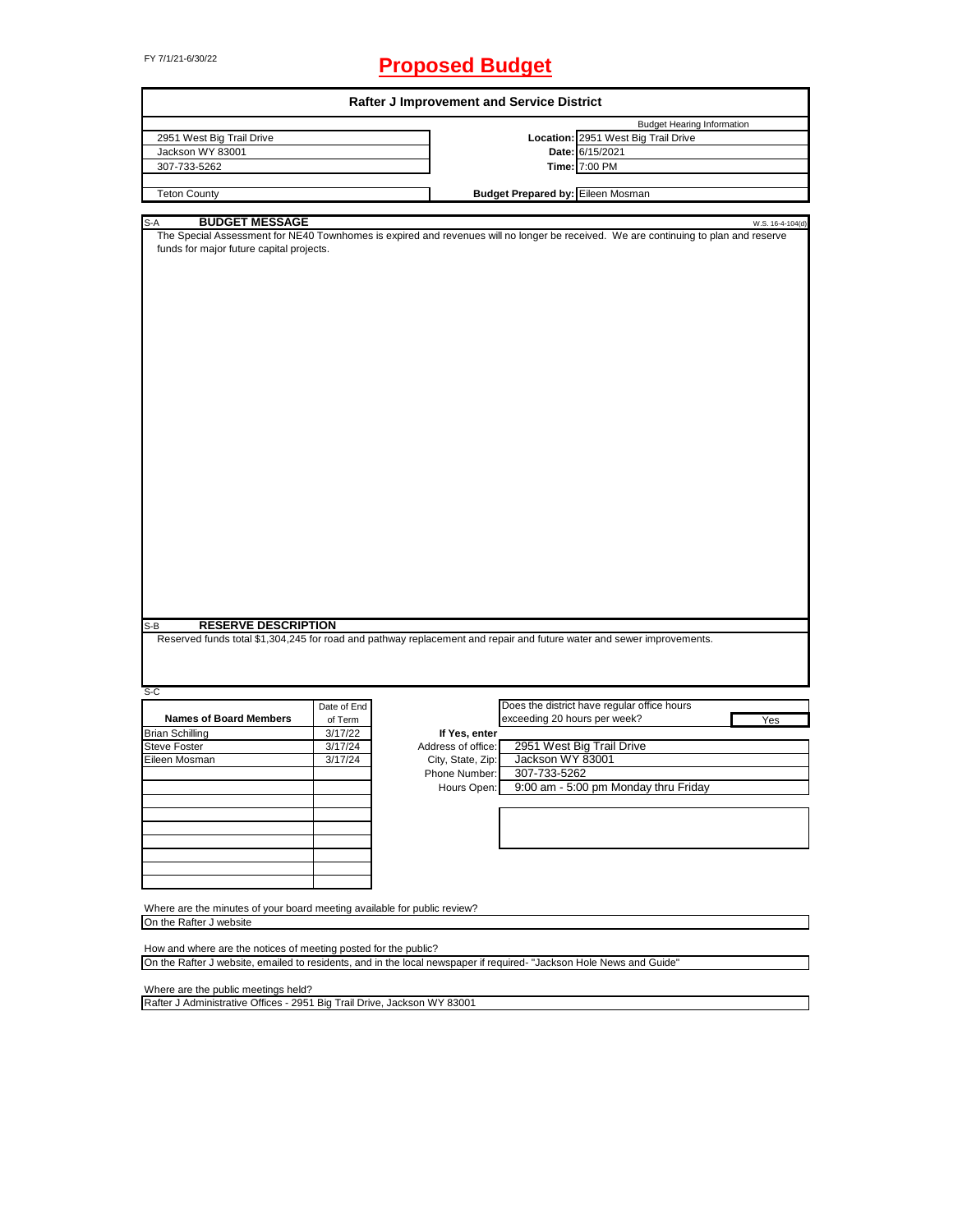# FY 7/1/21-6/30/22 **Proposed Budget**

|                                                                                                                                                                                                                                                        |             | <b>Rafter J Improvement and Service District</b> |                                          |                                                                                                                                     |                  |
|--------------------------------------------------------------------------------------------------------------------------------------------------------------------------------------------------------------------------------------------------------|-------------|--------------------------------------------------|------------------------------------------|-------------------------------------------------------------------------------------------------------------------------------------|------------------|
|                                                                                                                                                                                                                                                        |             |                                                  |                                          | <b>Budget Hearing Information</b>                                                                                                   |                  |
| 2951 West Big Trail Drive                                                                                                                                                                                                                              |             |                                                  |                                          | Location: 2951 West Big Trail Drive                                                                                                 |                  |
| Jackson WY 83001                                                                                                                                                                                                                                       |             |                                                  |                                          | Date: 6/15/2021                                                                                                                     |                  |
| 307-733-5262                                                                                                                                                                                                                                           |             |                                                  |                                          | Time: 7:00 PM                                                                                                                       |                  |
|                                                                                                                                                                                                                                                        |             |                                                  |                                          |                                                                                                                                     |                  |
| <b>Teton County</b>                                                                                                                                                                                                                                    |             |                                                  | <b>Budget Prepared by: Eileen Mosman</b> |                                                                                                                                     |                  |
| <b>BUDGET MESSAGE</b><br>S-A                                                                                                                                                                                                                           |             |                                                  |                                          |                                                                                                                                     | W.S. 16-4-104(d) |
| funds for major future capital projects.                                                                                                                                                                                                               |             |                                                  |                                          | The Special Assessment for NE40 Townhomes is expired and revenues will no longer be received. We are continuing to plan and reserve |                  |
|                                                                                                                                                                                                                                                        |             |                                                  |                                          |                                                                                                                                     |                  |
| <b>RESERVE DESCRIPTION</b><br>Reserved funds total \$1,304,245 for road and pathway replacement and repair and future water and sewer improvements.                                                                                                    |             |                                                  |                                          |                                                                                                                                     |                  |
|                                                                                                                                                                                                                                                        |             |                                                  |                                          |                                                                                                                                     |                  |
|                                                                                                                                                                                                                                                        | Date of End |                                                  |                                          | Does the district have regular office hours                                                                                         |                  |
| <b>Names of Board Members</b>                                                                                                                                                                                                                          | of Term     |                                                  | exceeding 20 hours per week?             |                                                                                                                                     | Yes              |
|                                                                                                                                                                                                                                                        | 3/17/22     | If Yes, enter                                    |                                          |                                                                                                                                     |                  |
|                                                                                                                                                                                                                                                        | 3/17/24     | Address of office:                               |                                          |                                                                                                                                     |                  |
|                                                                                                                                                                                                                                                        |             |                                                  |                                          | 2951 West Big Trail Drive                                                                                                           |                  |
|                                                                                                                                                                                                                                                        | 3/17/24     | City, State, Zip:<br>Phone Number:               | Jackson WY 83001<br>307-733-5262         |                                                                                                                                     |                  |
|                                                                                                                                                                                                                                                        |             |                                                  |                                          |                                                                                                                                     |                  |
|                                                                                                                                                                                                                                                        |             | Hours Open:                                      |                                          | 9:00 am - 5:00 pm Monday thru Friday                                                                                                |                  |
|                                                                                                                                                                                                                                                        |             |                                                  |                                          |                                                                                                                                     |                  |
|                                                                                                                                                                                                                                                        |             |                                                  |                                          |                                                                                                                                     |                  |
|                                                                                                                                                                                                                                                        |             |                                                  |                                          |                                                                                                                                     |                  |
|                                                                                                                                                                                                                                                        |             |                                                  |                                          |                                                                                                                                     |                  |
|                                                                                                                                                                                                                                                        |             |                                                  |                                          |                                                                                                                                     |                  |
|                                                                                                                                                                                                                                                        |             |                                                  |                                          |                                                                                                                                     |                  |
|                                                                                                                                                                                                                                                        |             |                                                  |                                          |                                                                                                                                     |                  |
|                                                                                                                                                                                                                                                        |             |                                                  |                                          |                                                                                                                                     |                  |
|                                                                                                                                                                                                                                                        |             |                                                  |                                          |                                                                                                                                     |                  |
|                                                                                                                                                                                                                                                        |             |                                                  |                                          |                                                                                                                                     |                  |
| S-B<br>S-C<br><b>Brian Schilling</b><br><b>Steve Foster</b><br>Eileen Mosman<br>Where are the minutes of your board meeting available for public review?<br>On the Rafter J website<br>How and where are the notices of meeting posted for the public? |             |                                                  |                                          |                                                                                                                                     |                  |

Where are the public meetings held?

Rafter J Administrative Offices - 2951 Big Trail Drive, Jackson WY 83001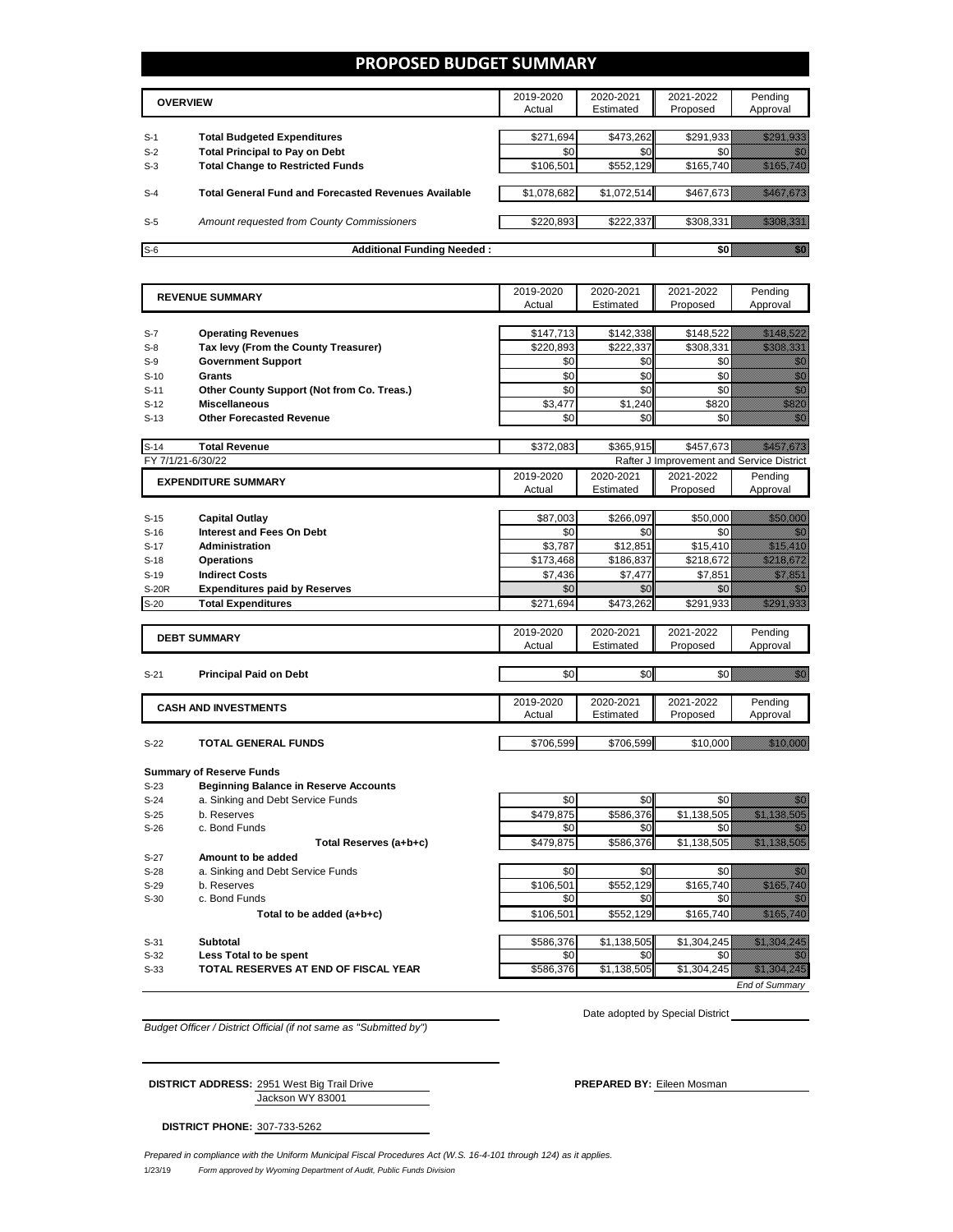### **PROPOSED BUDGET SUMMARY**

|       | <b>OVERVIEW</b>                                             | 2019-2020<br>Actual | 2020-2021<br>Estimated | 2021-2022<br>Proposed | Pending<br>Approval |
|-------|-------------------------------------------------------------|---------------------|------------------------|-----------------------|---------------------|
| $S-1$ | <b>Total Budgeted Expenditures</b>                          | \$271,694           | \$473,262              | \$291,933             |                     |
| $S-2$ | <b>Total Principal to Pay on Debt</b>                       | \$0                 | \$0                    |                       |                     |
| $S-3$ | <b>Total Change to Restricted Funds</b>                     | \$106,501           | \$552,129              | \$165.740             |                     |
|       |                                                             |                     |                        |                       |                     |
| $S-4$ | <b>Total General Fund and Forecasted Revenues Available</b> | \$1,078,682         | \$1,072,514            | \$467,673             |                     |
|       |                                                             |                     |                        |                       |                     |
| $S-5$ | Amount requested from County Commissioners                  | \$220.893           | \$222,337              |                       |                     |
|       |                                                             |                     |                        |                       |                     |
| $S-6$ | <b>Additional Funding Needed:</b>                           |                     |                        |                       |                     |

|        | 2019-2020<br>2020-2021<br>2021-2022<br><b>REVENUE SUMMARY</b> |                     | Pending                |                                           |                                                                                                                                                                                                                                 |
|--------|---------------------------------------------------------------|---------------------|------------------------|-------------------------------------------|---------------------------------------------------------------------------------------------------------------------------------------------------------------------------------------------------------------------------------|
|        |                                                               | Actual              | Estimated              | Proposed                                  | Approval                                                                                                                                                                                                                        |
|        |                                                               |                     |                        |                                           |                                                                                                                                                                                                                                 |
| $S-7$  | <b>Operating Revenues</b>                                     | \$147,713           | \$142,338              | \$148,522                                 | <u>iki kat</u> un                                                                                                                                                                                                               |
| $S-8$  | Tax levy (From the County Treasurer)                          | \$220,893           | \$222,337              | \$308,331                                 | <u> Karlin Ma</u>                                                                                                                                                                                                               |
| $S-9$  | <b>Government Support</b>                                     | \$0                 | \$0                    | \$0                                       | en de la familie de la familie de la familie de la familie de la familie de la familie de la familie de la fam<br>Espainia                                                                                                      |
| $S-10$ | Grants                                                        | \$0                 | \$0                    | \$0                                       | enni<br>Mille                                                                                                                                                                                                                   |
| $S-11$ | Other County Support (Not from Co. Treas.)                    | \$0                 | \$0                    | \$0                                       | en de la familie de la familie de la familie de la familie de la familie de la familie de la familie de la fam<br>Estat de la familie de la familie de la familie de la familie de la familie de la familie de la familie de la |
| $S-12$ | <b>Miscellaneous</b>                                          | \$3,477             | \$1,240                | \$820                                     | en en de forme de la forme de la forme de la forme de la forme de la forme de la forme de la forme de la form<br>En la forme de la forme de la forme de la forme de la forme de la forme de la forme de la forme de la forme d  |
| $S-13$ | <b>Other Forecasted Revenue</b>                               | \$0                 | \$0                    | \$0                                       | en<br>Maria                                                                                                                                                                                                                     |
| $S-14$ | <b>Total Revenue</b>                                          | \$372,083           | \$365,915              | \$457,673                                 | <u> Hiller Hall Star Borgh Star Borgh Star Borgh Star Borgh Star Borgh Star Borgh Star Borgh Star Borgh Star Borg</u>                                                                                                           |
|        | FY 7/1/21-6/30/22                                             |                     |                        | Rafter J Improvement and Service District |                                                                                                                                                                                                                                 |
|        |                                                               | 2019-2020           | 2020-2021              | 2021-2022                                 | Pendina                                                                                                                                                                                                                         |
|        | <b>EXPENDITURE SUMMARY</b>                                    | Actual              | Estimated              | Proposed                                  | Approval                                                                                                                                                                                                                        |
|        |                                                               |                     |                        |                                           |                                                                                                                                                                                                                                 |
| $S-15$ | <b>Capital Outlay</b>                                         | \$87,003            | \$266,097              | \$50,000                                  | <u> Harristo Sta</u>                                                                                                                                                                                                            |
| $S-16$ | <b>Interest and Fees On Debt</b>                              | \$0                 | \$0                    | \$0                                       | an dhe                                                                                                                                                                                                                          |
| $S-17$ | Administration                                                | \$3,787             | \$12,851               | \$15.410                                  | <u>mana ya kusingan kusingan na kusingan na kusingan na kusingan na kusingan na kusingan na kusingan na kusingan</u>                                                                                                            |
| $S-18$ | <b>Operations</b>                                             | \$173,468           | \$186,837              | \$218,672                                 | <u>Tillin k</u> alle                                                                                                                                                                                                            |
| $S-19$ | <b>Indirect Costs</b>                                         | \$7.436             | \$7,477                | \$7,851                                   | <u>i ka</u>                                                                                                                                                                                                                     |
| S-20R  | <b>Expenditures paid by Reserves</b>                          | \$0                 | \$0                    | \$0                                       | 11                                                                                                                                                                                                                              |
| $S-20$ | <b>Total Expenditures</b>                                     | \$271,694           | \$473,262              | \$291,933                                 | <u>Markovin Sar</u>                                                                                                                                                                                                             |
|        |                                                               |                     |                        |                                           |                                                                                                                                                                                                                                 |
|        | <b>DEBT SUMMARY</b>                                           | 2019-2020<br>Actual | 2020-2021<br>Estimated | 2021-2022<br>Proposed                     | Pending<br>Approval                                                                                                                                                                                                             |
|        |                                                               |                     |                        |                                           |                                                                                                                                                                                                                                 |
| $S-21$ | <b>Principal Paid on Debt</b>                                 | \$0                 | \$0                    | \$0                                       | gan dhe                                                                                                                                                                                                                         |
|        |                                                               |                     |                        |                                           |                                                                                                                                                                                                                                 |
|        | <b>CASH AND INVESTMENTS</b>                                   | 2019-2020           | 2020-2021              | 2021-2022                                 | Pending                                                                                                                                                                                                                         |
|        |                                                               | Actual              | Estimated              | Proposed                                  | Approval                                                                                                                                                                                                                        |
|        |                                                               |                     |                        |                                           |                                                                                                                                                                                                                                 |
| $S-22$ | <b>TOTAL GENERAL FUNDS</b>                                    | \$706,599           | \$706,599              | \$10,000                                  |                                                                                                                                                                                                                                 |
|        | <b>Summary of Reserve Funds</b>                               |                     |                        |                                           |                                                                                                                                                                                                                                 |
| $S-23$ | <b>Beginning Balance in Reserve Accounts</b>                  |                     |                        |                                           |                                                                                                                                                                                                                                 |
| $S-24$ | a. Sinking and Debt Service Funds                             | \$0                 | \$0                    | \$0                                       | 750 M                                                                                                                                                                                                                           |
| $S-25$ | b. Reserves                                                   | \$479,875           | \$586,376              | \$1,138,505                               | <u>istorialisti ka</u>                                                                                                                                                                                                          |
| $S-26$ | c. Bond Funds                                                 | \$0                 | \$0                    | \$0                                       | 77                                                                                                                                                                                                                              |
|        | Total Reserves (a+b+c)                                        | \$479,875           | \$586,376              | \$1,138,505                               | <u>Tillisto Tillisto T</u>                                                                                                                                                                                                      |
| $S-27$ | Amount to be added                                            |                     |                        |                                           |                                                                                                                                                                                                                                 |
| $S-28$ | a. Sinking and Debt Service Funds                             | \$0                 | \$0                    | \$0                                       | <u>man</u>                                                                                                                                                                                                                      |
| $S-29$ | b. Reserves                                                   | \$106,501           | \$552,129              | \$165,740                                 | a sa mga mga kalalala                                                                                                                                                                                                           |
|        |                                                               |                     |                        |                                           |                                                                                                                                                                                                                                 |

S-30 c. Bond Funds **Total to be added (a+b+c)** 50 \$0 \$0 \$0 \$0 \$0 \$0 \$165,740 **Total to be added (a+b+c)** \$106,501 \$552,129 S-31 **Subtotal** \$586,376 \$1,138,505 \$1,304,245 \$1,304,245 S-32 **Less Total to be spent** the second second to the second second second second second second second second second second second second second second second second second second second second second second second second **S-33 TOTAL RESERVES AT END OF FISCAL YEAR THE SEXE SEXES SEXES STATES \$1,304,245** \$1,304,245

*End of Summary*

*Budget Officer / District Official (if not same as "Submitted by")*

Date adopted by Special District

Jackson WY 83001 **DISTRICT ADDRESS:** 2951 West Big Trail Drive **PREPARED BY:** Eileen Mosman

**DISTRICT PHONE:** 307-733-5262

1/23/19 *Form approved by Wyoming Department of Audit, Public Funds Division Prepared in compliance with the Uniform Municipal Fiscal Procedures Act (W.S. 16-4-101 through 124) as it applies.*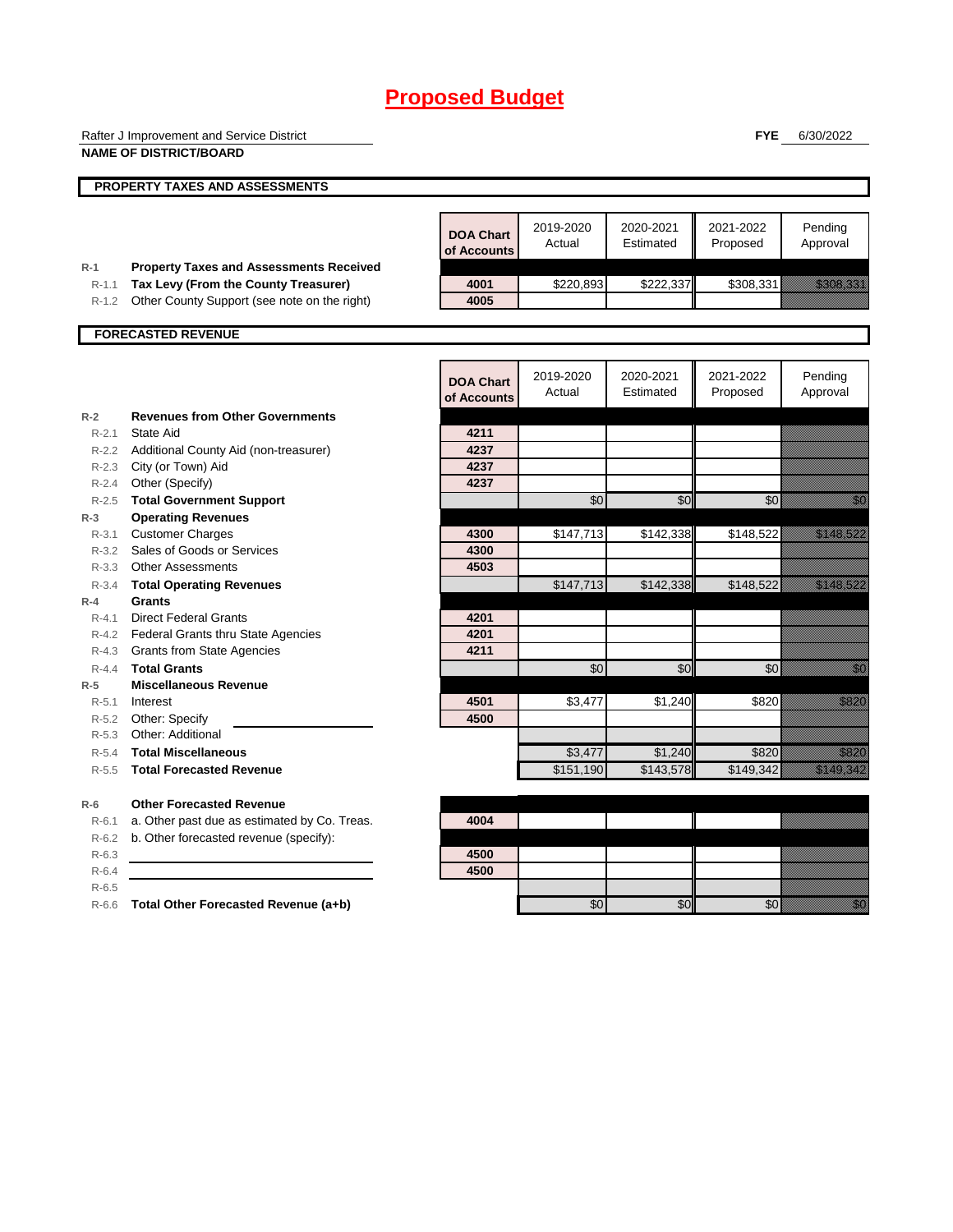|                      | Rafter J Improvement and Service District                                            |                                 |                     |                        | <b>FYE</b>            | 6/30/2022                                                                                                                                                                                                                        |
|----------------------|--------------------------------------------------------------------------------------|---------------------------------|---------------------|------------------------|-----------------------|----------------------------------------------------------------------------------------------------------------------------------------------------------------------------------------------------------------------------------|
|                      | <b>NAME OF DISTRICT/BOARD</b>                                                        |                                 |                     |                        |                       |                                                                                                                                                                                                                                  |
|                      | PROPERTY TAXES AND ASSESSMENTS                                                       |                                 |                     |                        |                       |                                                                                                                                                                                                                                  |
|                      |                                                                                      |                                 |                     |                        |                       |                                                                                                                                                                                                                                  |
|                      |                                                                                      | <b>DOA Chart</b><br>of Accounts | 2019-2020<br>Actual | 2020-2021<br>Estimated | 2021-2022<br>Proposed | Pending<br>Approval                                                                                                                                                                                                              |
| $R-1$                | <b>Property Taxes and Assessments Received</b>                                       |                                 |                     |                        |                       |                                                                                                                                                                                                                                  |
| $R - 1.1$<br>$R-1.2$ | Tax Levy (From the County Treasurer)<br>Other County Support (see note on the right) | 4001<br>4005                    | \$220,893           | \$222,337              | \$308,331             | <u> Kabupatèn Ta</u>                                                                                                                                                                                                             |
|                      |                                                                                      |                                 |                     |                        |                       |                                                                                                                                                                                                                                  |
|                      | <b>FORECASTED REVENUE</b>                                                            |                                 |                     |                        |                       |                                                                                                                                                                                                                                  |
|                      |                                                                                      |                                 |                     |                        |                       |                                                                                                                                                                                                                                  |
|                      |                                                                                      | <b>DOA Chart</b><br>of Accounts | 2019-2020<br>Actual | 2020-2021<br>Estimated | 2021-2022<br>Proposed | Pending<br>Approval                                                                                                                                                                                                              |
| $R-2$                | <b>Revenues from Other Governments</b>                                               |                                 |                     |                        |                       |                                                                                                                                                                                                                                  |
| $R - 2.1$            | State Aid                                                                            | 4211                            |                     |                        |                       |                                                                                                                                                                                                                                  |
|                      | R-2.2 Additional County Aid (non-treasurer)                                          | 4237<br>4237                    |                     |                        |                       |                                                                                                                                                                                                                                  |
|                      | R-2.3 City (or Town) Aid<br>R-2.4 Other (Specify)                                    | 4237                            |                     |                        |                       |                                                                                                                                                                                                                                  |
| $R - 2.5$            | <b>Total Government Support</b>                                                      |                                 | \$0                 | \$0                    | \$0                   | en de la familie de la familie de la familie de la familie de la familie de la familie de la familie de la fam<br>De la familie de la familie de la familie de la familie de la familie de la familie de la familie de la famili |
| $R-3$                | <b>Operating Revenues</b>                                                            |                                 |                     |                        |                       |                                                                                                                                                                                                                                  |
| $R - 3.1$            | <b>Customer Charges</b>                                                              | 4300                            | \$147,713           | \$142,338              | \$148,522             | <u>esti kolluttuu</u>                                                                                                                                                                                                            |
| $R - 3.2$            | Sales of Goods or Services                                                           | 4300                            |                     |                        |                       |                                                                                                                                                                                                                                  |
| $R - 3.3$            | <b>Other Assessments</b>                                                             | 4503                            |                     |                        |                       |                                                                                                                                                                                                                                  |
| $R - 3.4$            | <b>Total Operating Revenues</b>                                                      |                                 | \$147,713           | \$142,338              | \$148,522             | <u>Tanah Sarajan</u>                                                                                                                                                                                                             |
| $R-4$                | <b>Grants</b>                                                                        |                                 |                     |                        |                       |                                                                                                                                                                                                                                  |
| $R - 4.1$            | <b>Direct Federal Grants</b>                                                         | 4201                            |                     |                        |                       |                                                                                                                                                                                                                                  |
|                      | R-4.2 Federal Grants thru State Agencies                                             | 4201<br>4211                    |                     |                        |                       |                                                                                                                                                                                                                                  |
| $R-4.3$<br>$R - 4.4$ | <b>Grants from State Agencies</b><br><b>Total Grants</b>                             |                                 | \$0                 | \$0                    | \$0                   | en de la familie de la familie de la familie de la familie de la familie de la familie de la familie de la fam<br>De la familie de la familie de la familie de la familie de la familie de la familie de la familie de la famili |
| $R-5$                | <b>Miscellaneous Revenue</b>                                                         |                                 |                     |                        |                       |                                                                                                                                                                                                                                  |
| $R - 5.1$            | Interest                                                                             | 4501                            | \$3,477             | \$1,240                | \$820                 | a a an an t-                                                                                                                                                                                                                     |
| R-5.2                | Other: Specify                                                                       | 4500                            |                     |                        |                       |                                                                                                                                                                                                                                  |
| $R - 5.3$            | Other: Additional                                                                    |                                 |                     |                        |                       |                                                                                                                                                                                                                                  |
| $R - 5.4$            | <b>Total Miscellaneous</b>                                                           |                                 | \$3,477             | \$1,240                | \$820                 | <u>tik alaman </u>                                                                                                                                                                                                               |
| $R-5.5$              | <b>Total Forecasted Revenue</b>                                                      |                                 | \$151,190           | \$143,578              | \$149,342             | <u>tik alaman da</u>                                                                                                                                                                                                             |
| $R-6$                | <b>Other Forecasted Revenue</b>                                                      |                                 |                     |                        |                       |                                                                                                                                                                                                                                  |
| $R-6.1$              | a. Other past due as estimated by Co. Treas.                                         | 4004                            |                     |                        |                       |                                                                                                                                                                                                                                  |
| $R-6.2$              | b. Other forecasted revenue (specify):                                               |                                 |                     |                        |                       |                                                                                                                                                                                                                                  |
| $R-6.3$              |                                                                                      | 4500                            |                     |                        |                       |                                                                                                                                                                                                                                  |
| $R-6.4$              |                                                                                      | 4500                            |                     |                        |                       |                                                                                                                                                                                                                                  |
| $R-6.5$              |                                                                                      |                                 |                     |                        |                       |                                                                                                                                                                                                                                  |
|                      | R-6.6 Total Other Forecasted Revenue (a+b)                                           |                                 | \$0                 | \$0                    | \$0                   | <u>fill f</u>                                                                                                                                                                                                                    |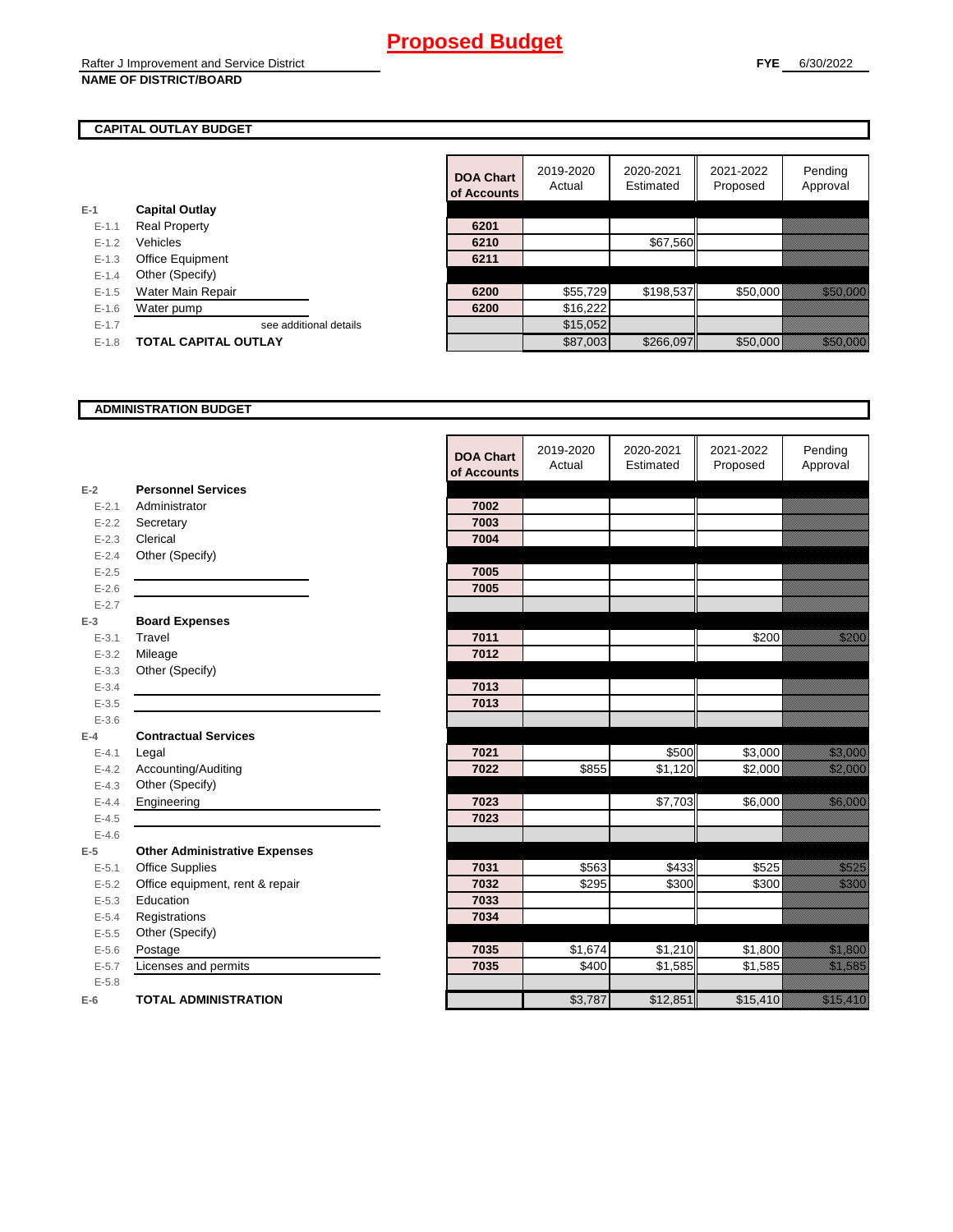### **CAPITAL OUTLAY BUDGET**

|           |                             | UI ACCOUNTS |          |
|-----------|-----------------------------|-------------|----------|
| $E-1$     | <b>Capital Outlay</b>       |             |          |
| $E - 1.1$ | <b>Real Property</b>        | 6201        |          |
| $E - 1.2$ | Vehicles                    | 6210        |          |
| $E - 1.3$ | <b>Office Equipment</b>     | 6211        |          |
| $E - 1.4$ | Other (Specify)             |             |          |
| $E-1.5$   | Water Main Repair           | 6200        | \$55,729 |
| $E-1.6$   | Water pump                  | 6200        | \$16,222 |
| $E - 1.7$ | see additional details      |             | \$15,052 |
| $E-1.8$   | <b>TOTAL CAPITAL OUTLAY</b> |             | \$87,003 |
|           |                             |             |          |

|           |                             | <b>DOA Chart</b><br>of Accounts | 2019-2020<br>Actual | 2020-2021<br>Estimated | 2021-2022<br>Proposed | Pending<br>Approval  |
|-----------|-----------------------------|---------------------------------|---------------------|------------------------|-----------------------|----------------------|
|           | <b>Capital Outlay</b>       |                                 |                     |                        |                       |                      |
| $E - 1.1$ | <b>Real Property</b>        | 6201                            |                     |                        |                       |                      |
| $E-1.2$   | Vehicles                    | 6210                            |                     | \$67,560               |                       |                      |
| $E - 1.3$ | <b>Office Equipment</b>     | 6211                            |                     |                        |                       |                      |
| $E-1.4$   | Other (Specify)             |                                 |                     |                        |                       |                      |
| $E-1.5$   | Water Main Repair           | 6200                            | \$55,729            | \$198,537              | \$50,000              | <u> Hardina Sara</u> |
| $E - 1.6$ | Water pump                  | 6200                            | \$16,222            |                        |                       |                      |
| $E-1.7$   | see additional details      |                                 | \$15,052            |                        |                       |                      |
| $E-1.8$   | <b>TOTAL CAPITAL OUTLAY</b> |                                 | \$87,003            | \$266,097              | \$50,000              | <u> Karl Sara</u>    |

#### **ADMINISTRATION BUDGET**

|           |                                      | <b>DOA Chart</b><br>of Accounts | 2019-2020<br>Actual | 2020-2021<br>Estimated | 2021-2022<br>Proposed | Pending<br>Approval                                                                                                      |
|-----------|--------------------------------------|---------------------------------|---------------------|------------------------|-----------------------|--------------------------------------------------------------------------------------------------------------------------|
| $E-2$     | <b>Personnel Services</b>            |                                 |                     |                        |                       |                                                                                                                          |
| $E - 2.1$ | Administrator                        | 7002                            |                     |                        |                       |                                                                                                                          |
| $E - 2.2$ | Secretary                            | 7003                            |                     |                        |                       |                                                                                                                          |
| $E - 2.3$ | Clerical                             | 7004                            |                     |                        |                       |                                                                                                                          |
| $E - 2.4$ | Other (Specify)                      |                                 |                     |                        |                       |                                                                                                                          |
| $E - 2.5$ |                                      | 7005                            |                     |                        |                       |                                                                                                                          |
| $E - 2.6$ |                                      | 7005                            |                     |                        |                       |                                                                                                                          |
| $E - 2.7$ |                                      |                                 |                     |                        |                       |                                                                                                                          |
| $E-3$     | <b>Board Expenses</b>                |                                 |                     |                        |                       |                                                                                                                          |
| $E - 3.1$ | Travel                               | 7011                            |                     |                        | \$200                 | <u>till fram</u>                                                                                                         |
| $E - 3.2$ | Mileage                              | 7012                            |                     |                        |                       |                                                                                                                          |
| $E - 3.3$ | Other (Specify)                      |                                 |                     |                        |                       |                                                                                                                          |
| $E - 3.4$ |                                      | 7013                            |                     |                        |                       |                                                                                                                          |
| $E - 3.5$ |                                      | 7013                            |                     |                        |                       |                                                                                                                          |
| $E - 3.6$ |                                      |                                 |                     |                        |                       |                                                                                                                          |
| $E-4$     | <b>Contractual Services</b>          |                                 |                     |                        |                       |                                                                                                                          |
| $E - 4.1$ | Legal                                | 7021                            |                     | \$500                  | \$3,000               | <u>ta kultura dhe</u>                                                                                                    |
| $E - 4.2$ | Accounting/Auditing                  | 7022                            | \$855               | $\overline{$1,120}$    | \$2,000               | <u>till framförsta</u>                                                                                                   |
| $E-4.3$   | Other (Specify)                      |                                 |                     |                        |                       |                                                                                                                          |
| $E-4.4$   | Engineering                          | 7023                            |                     | \$7,703                | \$6,000               |                                                                                                                          |
| $E-4.5$   |                                      | 7023                            |                     |                        |                       |                                                                                                                          |
| $E-4.6$   |                                      |                                 |                     |                        |                       |                                                                                                                          |
| $E-5$     | <b>Other Administrative Expenses</b> |                                 |                     |                        |                       |                                                                                                                          |
| $E - 5.1$ | Office Supplies                      | 7031                            | \$563               | \$433                  | \$525                 | a a a an t-òrdan an t-òrdan an t-òrdan an Dùbhaill.<br>Bailtean an t-òrdan an t-òrdan an t-òrdan an t-òrdan an Dùbhaill. |
| $E - 5.2$ | Office equipment, rent & repair      | 7032                            | \$295               | \$300                  | \$300                 | <u> Historial I</u>                                                                                                      |
| $E-5.3$   | Education                            | 7033                            |                     |                        |                       |                                                                                                                          |
| $E - 5.4$ | Registrations                        | 7034                            |                     |                        |                       |                                                                                                                          |
| $E-5.5$   | Other (Specify)                      |                                 |                     |                        |                       |                                                                                                                          |
| $E-5.6$   | Postage                              | 7035                            | \$1,674             | \$1,210                | \$1,800               | <u>ti ka</u>                                                                                                             |
| $E - 5.7$ | Licenses and permits                 | 7035                            | \$400               | $\overline{$}1,585$    | \$1,585               | <u> Karlin Sarajan Saraja</u>                                                                                            |
| $E - 5.8$ |                                      |                                 |                     |                        |                       |                                                                                                                          |
| $E-6$     | <b>TOTAL ADMINISTRATION</b>          |                                 | \$3,787             | \$12,851               | \$15,410              | <u>i karatikana ka</u>                                                                                                   |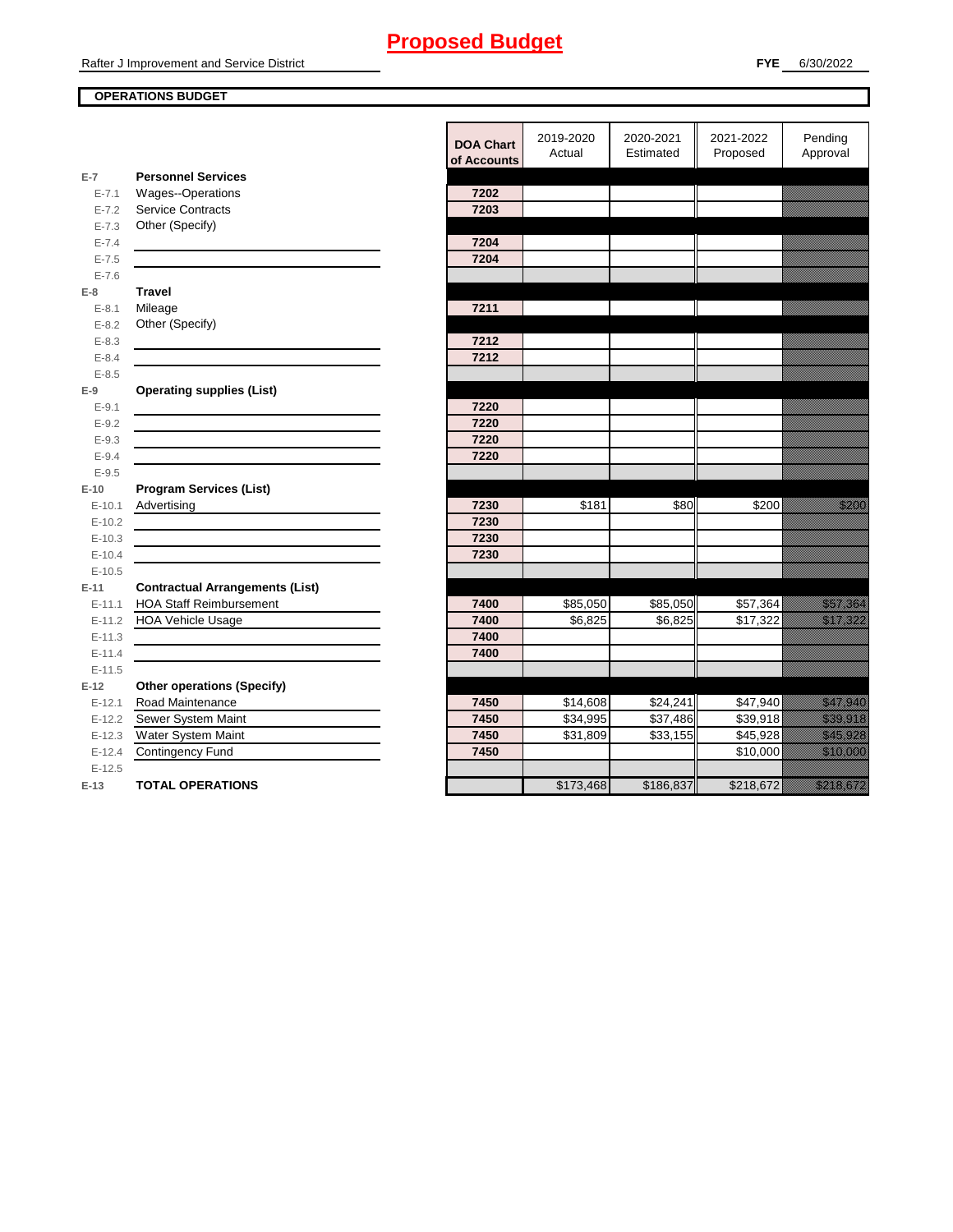## **OPERATIONS BUDGET**

**E-7**

**E-8 Travel**

**E-9**

**E-10**

**E-11 Contractual Arrangements (List)** 

**E-12 Other operations (Specify)** 

|            |                                        | <b>DOA Chart</b><br>of Accounts | 2019-2020<br>Actual | 2020-2021<br>Estimated | 2021-2022<br>Proposed | Pending<br>Approval                                                                                                                                                                                                              |
|------------|----------------------------------------|---------------------------------|---------------------|------------------------|-----------------------|----------------------------------------------------------------------------------------------------------------------------------------------------------------------------------------------------------------------------------|
| $E-7$      | <b>Personnel Services</b>              |                                 |                     |                        |                       |                                                                                                                                                                                                                                  |
| $E - 7.1$  | Wages--Operations                      | 7202                            |                     |                        |                       |                                                                                                                                                                                                                                  |
| $E - 7.2$  | Service Contracts                      | 7203                            |                     |                        |                       |                                                                                                                                                                                                                                  |
| $E - 7.3$  | Other (Specify)                        |                                 |                     |                        |                       |                                                                                                                                                                                                                                  |
| $E - 7.4$  |                                        | 7204                            |                     |                        |                       |                                                                                                                                                                                                                                  |
| $E - 7.5$  |                                        | 7204                            |                     |                        |                       |                                                                                                                                                                                                                                  |
| $E - 7.6$  |                                        |                                 |                     |                        |                       |                                                                                                                                                                                                                                  |
| E-8        | <b>Travel</b>                          |                                 |                     |                        |                       |                                                                                                                                                                                                                                  |
| $E - 8.1$  | Mileage                                | 7211                            |                     |                        |                       |                                                                                                                                                                                                                                  |
| $E - 8.2$  | Other (Specify)                        |                                 |                     |                        |                       |                                                                                                                                                                                                                                  |
| $E - 8.3$  |                                        | 7212                            |                     |                        |                       |                                                                                                                                                                                                                                  |
| $E - 8.4$  |                                        | 7212                            |                     |                        |                       |                                                                                                                                                                                                                                  |
| $E - 8.5$  |                                        |                                 |                     |                        |                       |                                                                                                                                                                                                                                  |
| E-9        | <b>Operating supplies (List)</b>       |                                 |                     |                        |                       |                                                                                                                                                                                                                                  |
| $E - 9.1$  |                                        | 7220                            |                     |                        |                       |                                                                                                                                                                                                                                  |
| $E-9.2$    |                                        | 7220                            |                     |                        |                       |                                                                                                                                                                                                                                  |
| $E - 9.3$  |                                        | 7220                            |                     |                        |                       |                                                                                                                                                                                                                                  |
| $E - 9.4$  |                                        | 7220                            |                     |                        |                       |                                                                                                                                                                                                                                  |
| $E - 9.5$  |                                        |                                 |                     |                        |                       |                                                                                                                                                                                                                                  |
| $E-10$     | <b>Program Services (List)</b>         |                                 |                     |                        |                       |                                                                                                                                                                                                                                  |
| $E - 10.1$ | Advertising                            | 7230                            | \$181               | \$80                   | \$200                 | a a an ainm                                                                                                                                                                                                                      |
| $E-10.2$   |                                        | 7230                            |                     |                        |                       |                                                                                                                                                                                                                                  |
| $E-10.3$   |                                        | 7230                            |                     |                        |                       |                                                                                                                                                                                                                                  |
| $E-10.4$   |                                        | 7230                            |                     |                        |                       |                                                                                                                                                                                                                                  |
| $E-10.5$   |                                        |                                 |                     |                        |                       |                                                                                                                                                                                                                                  |
| E-11       | <b>Contractual Arrangements (List)</b> |                                 |                     |                        |                       |                                                                                                                                                                                                                                  |
| $E-11.1$   | <b>HOA Staff Reimbursement</b>         | 7400                            | \$85,050            | \$85,050               | \$57,364              | <u>in dhe që përfshën për përfshën për përfshën për përfshën për përfshën për përfshën për përfshën për përfshën</u>                                                                                                             |
| $E-11.2$   | <b>HOA Vehicle Usage</b>               | 7400                            | \$6,825             | \$6,825                | \$17,322              | <u>est til starte och en starte och starte och starte och starte och starte och starte och starte och starte och </u>                                                                                                            |
| $E-11.3$   |                                        | 7400                            |                     |                        |                       |                                                                                                                                                                                                                                  |
| $E-11.4$   |                                        | 7400                            |                     |                        |                       |                                                                                                                                                                                                                                  |
| $E-11.5$   |                                        |                                 |                     |                        |                       |                                                                                                                                                                                                                                  |
| $E-12$     | <b>Other operations (Specify)</b>      |                                 |                     |                        |                       |                                                                                                                                                                                                                                  |
| $E-12.1$   | Road Maintenance                       | 7450                            | \$14,608            | \$24,241               | \$47,940              | <u>ta kalendari komunistas komunistas komunistas komunistas komunistas komunistas komunistas ko</u>                                                                                                                              |
| $E-12.2$   | Sewer System Maint                     | 7450                            | \$34,995            | \$37,486               | \$39,918              | <u>i karatifan yang berapa dalam bagi dalam bagi dalam karatifan dalam bagi dalam bagi dalam bagi dalam bagi dala</u>                                                                                                            |
| $E-12.3$   | Water System Maint                     | 7450                            | \$31,809            | \$33,155               | \$45,928              | <u>tika kuning ka</u>                                                                                                                                                                                                            |
| $E - 12.4$ | <b>Contingency Fund</b>                | 7450                            |                     |                        | \$10,000              | <u> Karl Sara</u>                                                                                                                                                                                                                |
| $E-12.5$   |                                        |                                 |                     |                        |                       |                                                                                                                                                                                                                                  |
| $E-13$     | <b>TOTAL OPERATIONS</b>                |                                 | \$173,468           | \$186,837              | \$218,672             | a katika katika katika katika katika katika katika katika katika katika katika katika katika katika katika kat<br>Katika katika katika katika katika katika katika katika katika katika katika katika katika katika katika katik |
|            |                                        |                                 |                     |                        |                       |                                                                                                                                                                                                                                  |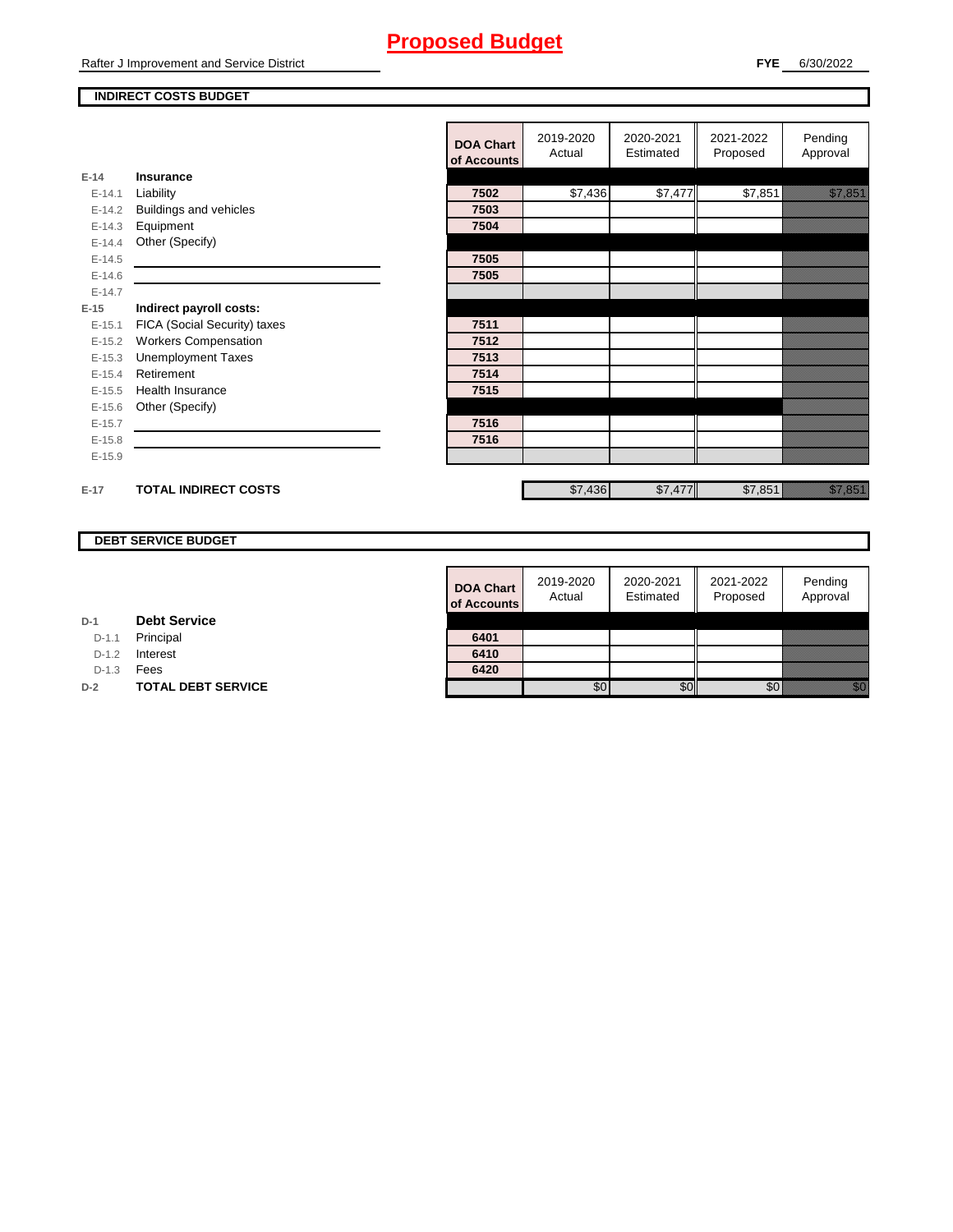#### **INDIRECT COSTS BUDGET**

|          |                              | <b>DOA Chart</b><br>of Accounts | 2019-2020<br>Actual | 2020-2021<br>Estimated | 2021-2022<br>Proposed | Pending<br>Approval                                                                                                 |
|----------|------------------------------|---------------------------------|---------------------|------------------------|-----------------------|---------------------------------------------------------------------------------------------------------------------|
| $E-14$   | Insurance                    |                                 |                     |                        |                       |                                                                                                                     |
| $E-14.1$ | Liability                    | 7502                            | \$7,436             | \$7,477                | \$7,851               | <u>tik karatikanan di karatikanan di karatikanan di karatikanan di karatikanan di karatikanan di karatikanan di</u> |
| $E-14.2$ | Buildings and vehicles       | 7503                            |                     |                        |                       |                                                                                                                     |
| $E-14.3$ | Equipment                    | 7504                            |                     |                        |                       |                                                                                                                     |
| $E-14.4$ | Other (Specify)              |                                 |                     |                        |                       |                                                                                                                     |
| $E-14.5$ |                              | 7505                            |                     |                        |                       |                                                                                                                     |
| $E-14.6$ |                              | 7505                            |                     |                        |                       |                                                                                                                     |
| $E-14.7$ |                              |                                 |                     |                        |                       |                                                                                                                     |
| $E-15$   | Indirect payroll costs:      |                                 |                     |                        |                       |                                                                                                                     |
| $E-15.1$ | FICA (Social Security) taxes | 7511                            |                     |                        |                       |                                                                                                                     |
| $E-15.2$ | <b>Workers Compensation</b>  | 7512                            |                     |                        |                       |                                                                                                                     |
| $E-15.3$ | <b>Unemployment Taxes</b>    | 7513                            |                     |                        |                       |                                                                                                                     |
| $E-15.4$ | Retirement                   | 7514                            |                     |                        |                       |                                                                                                                     |
| $E-15.5$ | Health Insurance             | 7515                            |                     |                        |                       |                                                                                                                     |
| $E-15.6$ | Other (Specify)              |                                 |                     |                        |                       |                                                                                                                     |
| $E-15.7$ |                              | 7516                            |                     |                        |                       |                                                                                                                     |
| $E-15.8$ |                              | 7516                            |                     |                        |                       |                                                                                                                     |
| $E-15.9$ |                              |                                 |                     |                        |                       |                                                                                                                     |
| $E-17$   | <b>TOTAL INDIRECT COSTS</b>  |                                 | \$7,436             | \$7,477                | \$7,851               | <u> Karlin Sarajan (</u>                                                                                            |

## **DEBT SERVICE BUDGET**

| <b>DOA Chart</b><br>of Accounts | 2019-2020<br>Actual | 2020-2021<br>Estimated | 2021-2022<br>Proposed | Pending<br>Approval |
|---------------------------------|---------------------|------------------------|-----------------------|---------------------|
|                                 |                     |                        |                       |                     |
| 6401                            |                     |                        |                       |                     |
| 6410                            |                     |                        |                       |                     |
| 6420                            |                     |                        |                       |                     |
|                                 |                     |                        |                       |                     |

| D-1 | <b>Debt Service</b> |  |  |
|-----|---------------------|--|--|
|-----|---------------------|--|--|

D-1.1 Principal

D-1.2 **Interest** 

D-1.3 **Fees** 

**D-2 TOTAL DEBT SERVICE**